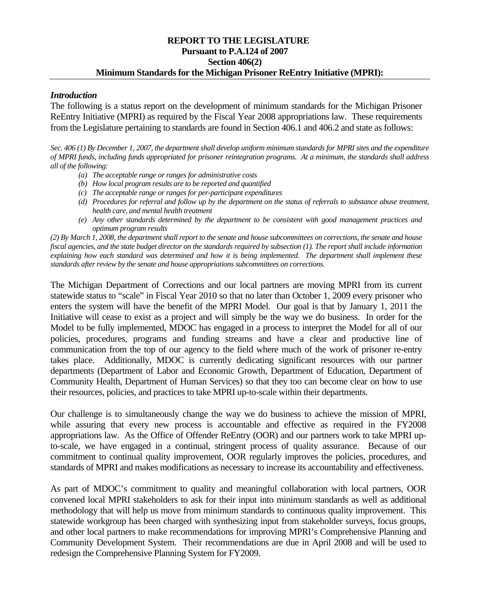#### **REPORT TO THE LEGISLATURE Pursuant to P.A.124 of 2007 Section 406(2) Minimum Standards for the Michigan Prisoner ReEntry Initiative (MPRI):**

#### *Introduction*

The following is a status report on the development of minimum standards for the Michigan Prisoner ReEntry Initiative (MPRI) as required by the Fiscal Year 2008 appropriations law. These requirements from the Legislature pertaining to standards are found in Section 406.1 and 406.2 and state as follows:

*Sec. 406 (1) By December 1, 2007, the department shall develop uniform minimum standards for MPRI sites and the expenditure of MPRI funds, including funds appropriated for prisoner reintegration programs. At a minimum, the standards shall address all of the following:* 

- *(a) The acceptable range or ranges for administrative costs*
- *(b) How local program results are to be reported and quantified*
- *(c) The acceptable range or ranges for per-participant expenditures*
- *(d) Procedures for referral and follow up by the department on the status of referrals to substance abuse treatment, health care, and mental health treatment*
- *(e) Any other standards determined by the department to be consistent with good management practices and optimum program results*

*(2) By March 1, 2008, the department shall report to the senate and house subcommittees on corrections, the senate and house fiscal agencies, and the state budget director on the standards required by subsection (1). The report shall include information explaining how each standard was determined and how it is being implemented. The department shall implement these standards after review by the senate and house appropriations subcommittees on corrections.* 

The Michigan Department of Corrections and our local partners are moving MPRI from its current statewide status to "scale" in Fiscal Year 2010 so that no later than October 1, 2009 every prisoner who enters the system will have the benefit of the MPRI Model. Our goal is that by January 1, 2011 the Initiative will cease to exist as a project and will simply be the way we do business. In order for the Model to be fully implemented, MDOC has engaged in a process to interpret the Model for all of our policies, procedures, programs and funding streams and have a clear and productive line of communication from the top of our agency to the field where much of the work of prisoner re-entry takes place. Additionally, MDOC is currently dedicating significant resources with our partner departments (Department of Labor and Economic Growth, Department of Education, Department of Community Health, Department of Human Services) so that they too can become clear on how to use their resources, policies, and practices to take MPRI up-to-scale within their departments.

Our challenge is to simultaneously change the way we do business to achieve the mission of MPRI, while assuring that every new process is accountable and effective as required in the FY2008 appropriations law. As the Office of Offender ReEntry (OOR) and our partners work to take MPRI upto-scale, we have engaged in a continual, stringent process of quality assurance. Because of our commitment to continual quality improvement, OOR regularly improves the policies, procedures, and standards of MPRI and makes modifications as necessary to increase its accountability and effectiveness.

As part of MDOC's commitment to quality and meaningful collaboration with local partners, OOR convened local MPRI stakeholders to ask for their input into minimum standards as well as additional methodology that will help us move from minimum standards to continuous quality improvement. This statewide workgroup has been charged with synthesizing input from stakeholder surveys, focus groups, and other local partners to make recommendations for improving MPRI's Comprehensive Planning and Community Development System. Their recommendations are due in April 2008 and will be used to redesign the Comprehensive Planning System for FY2009.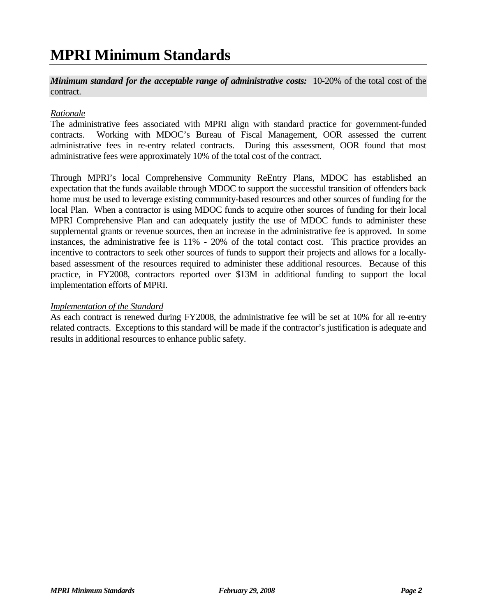## **MPRI Minimum Standards**

*Minimum standard for the acceptable range of administrative costs:* 10-20% of the total cost of the contract.

#### *Rationale*

The administrative fees associated with MPRI align with standard practice for government-funded contracts. Working with MDOC's Bureau of Fiscal Management, OOR assessed the current administrative fees in re-entry related contracts. During this assessment, OOR found that most administrative fees were approximately 10% of the total cost of the contract.

Through MPRI's local Comprehensive Community ReEntry Plans, MDOC has established an expectation that the funds available through MDOC to support the successful transition of offenders back home must be used to leverage existing community-based resources and other sources of funding for the local Plan. When a contractor is using MDOC funds to acquire other sources of funding for their local MPRI Comprehensive Plan and can adequately justify the use of MDOC funds to administer these supplemental grants or revenue sources, then an increase in the administrative fee is approved. In some instances, the administrative fee is 11% - 20% of the total contact cost. This practice provides an incentive to contractors to seek other sources of funds to support their projects and allows for a locallybased assessment of the resources required to administer these additional resources. Because of this practice, in FY2008, contractors reported over \$13M in additional funding to support the local implementation efforts of MPRI.

#### *Implementation of the Standard*

As each contract is renewed during FY2008, the administrative fee will be set at 10% for all re-entry related contracts. Exceptions to this standard will be made if the contractor's justification is adequate and results in additional resources to enhance public safety.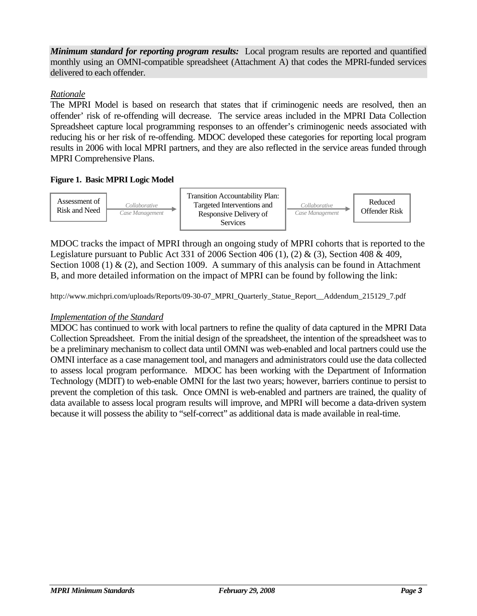*Minimum standard for reporting program results:* Local program results are reported and quantified monthly using an OMNI-compatible spreadsheet (Attachment A) that codes the MPRI-funded services delivered to each offender.

#### *Rationale*

The MPRI Model is based on research that states that if criminogenic needs are resolved, then an offender' risk of re-offending will decrease. The service areas included in the MPRI Data Collection Spreadsheet capture local programming responses to an offender's criminogenic needs associated with reducing his or her risk of re-offending. MDOC developed these categories for reporting local program results in 2006 with local MPRI partners, and they are also reflected in the service areas funded through MPRI Comprehensive Plans.

#### **Figure 1. Basic MPRI Logic Model**



MDOC tracks the impact of MPRI through an ongoing study of MPRI cohorts that is reported to the Legislature pursuant to Public Act 331 of 2006 Section 406 (1), (2) & (3), Section 408 & 409, Section 1008 (1)  $\&$  (2), and Section 1009. A summary of this analysis can be found in Attachment B, and more detailed information on the impact of MPRI can be found by following the link:

http://www.michpri.com/uploads/Reports/09-30-07 MPRI\_Quarterly\_Statue\_Report\_\_Addendum\_215129\_7.pdf

#### *Implementation of the Standard*

MDOC has continued to work with local partners to refine the quality of data captured in the MPRI Data Collection Spreadsheet. From the initial design of the spreadsheet, the intention of the spreadsheet was to be a preliminary mechanism to collect data until OMNI was web-enabled and local partners could use the OMNI interface as a case management tool, and managers and administrators could use the data collected to assess local program performance. MDOC has been working with the Department of Information Technology (MDIT) to web-enable OMNI for the last two years; however, barriers continue to persist to prevent the completion of this task. Once OMNI is web-enabled and partners are trained, the quality of data available to assess local program results will improve, and MPRI will become a data-driven system because it will possess the ability to "self-correct" as additional data is made available in real-time.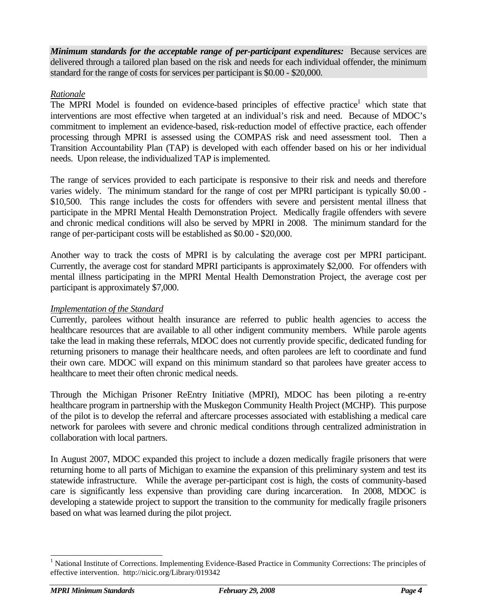*Minimum standards for the acceptable range of per-participant expenditures:* Because services are delivered through a tailored plan based on the risk and needs for each individual offender, the minimum standard for the range of costs for services per participant is \$0.00 - \$20,000.

#### *Rationale*

The MPRI Model is founded on evidence-based principles of effective practice<sup>1</sup> which state that interventions are most effective when targeted at an individual's risk and need. Because of MDOC's commitment to implement an evidence-based, risk-reduction model of effective practice, each offender processing through MPRI is assessed using the COMPAS risk and need assessment tool. Then a Transition Accountability Plan (TAP) is developed with each offender based on his or her individual needs. Upon release, the individualized TAP is implemented.

The range of services provided to each participate is responsive to their risk and needs and therefore varies widely. The minimum standard for the range of cost per MPRI participant is typically \$0.00 - \$10,500. This range includes the costs for offenders with severe and persistent mental illness that participate in the MPRI Mental Health Demonstration Project. Medically fragile offenders with severe and chronic medical conditions will also be served by MPRI in 2008. The minimum standard for the range of per-participant costs will be established as \$0.00 - \$20,000.

Another way to track the costs of MPRI is by calculating the average cost per MPRI participant. Currently, the average cost for standard MPRI participants is approximately \$2,000. For offenders with mental illness participating in the MPRI Mental Health Demonstration Project, the average cost per participant is approximately \$7,000.

#### *Implementation of the Standard*

Currently, parolees without health insurance are referred to public health agencies to access the healthcare resources that are available to all other indigent community members. While parole agents take the lead in making these referrals, MDOC does not currently provide specific, dedicated funding for returning prisoners to manage their healthcare needs, and often parolees are left to coordinate and fund their own care. MDOC will expand on this minimum standard so that parolees have greater access to healthcare to meet their often chronic medical needs.

Through the Michigan Prisoner ReEntry Initiative (MPRI), MDOC has been piloting a re-entry healthcare program in partnership with the Muskegon Community Health Project (MCHP). This purpose of the pilot is to develop the referral and aftercare processes associated with establishing a medical care network for parolees with severe and chronic medical conditions through centralized administration in collaboration with local partners.

In August 2007, MDOC expanded this project to include a dozen medically fragile prisoners that were returning home to all parts of Michigan to examine the expansion of this preliminary system and test its statewide infrastructure. While the average per-participant cost is high, the costs of community-based care is significantly less expensive than providing care during incarceration. In 2008, MDOC is developing a statewide project to support the transition to the community for medically fragile prisoners based on what was learned during the pilot project.

<sup>&</sup>lt;sup>1</sup> National Institute of Corrections. Implementing Evidence-Based Practice in Community Corrections: The principles of effective intervention. http://nicic.org/Library/019342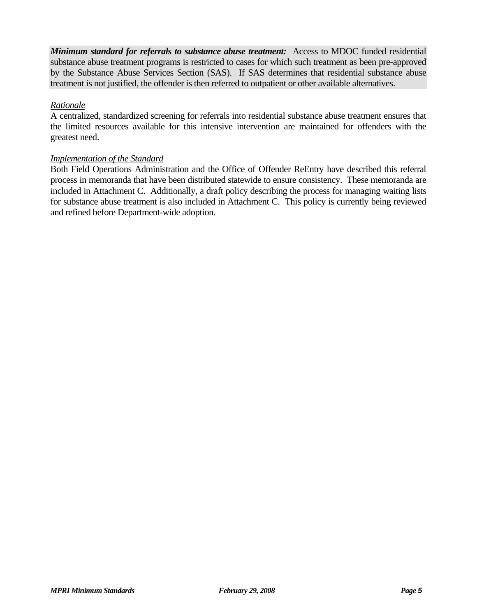*Minimum standard for referrals to substance abuse treatment:* Access to MDOC funded residential substance abuse treatment programs is restricted to cases for which such treatment as been pre-approved by the Substance Abuse Services Section (SAS). If SAS determines that residential substance abuse treatment is not justified, the offender is then referred to outpatient or other available alternatives.

#### *Rationale*

A centralized, standardized screening for referrals into residential substance abuse treatment ensures that the limited resources available for this intensive intervention are maintained for offenders with the greatest need.

#### *Implementation of the Standard*

Both Field Operations Administration and the Office of Offender ReEntry have described this referral process in memoranda that have been distributed statewide to ensure consistency. These memoranda are included in Attachment C. Additionally, a draft policy describing the process for managing waiting lists for substance abuse treatment is also included in Attachment C. This policy is currently being reviewed and refined before Department-wide adoption.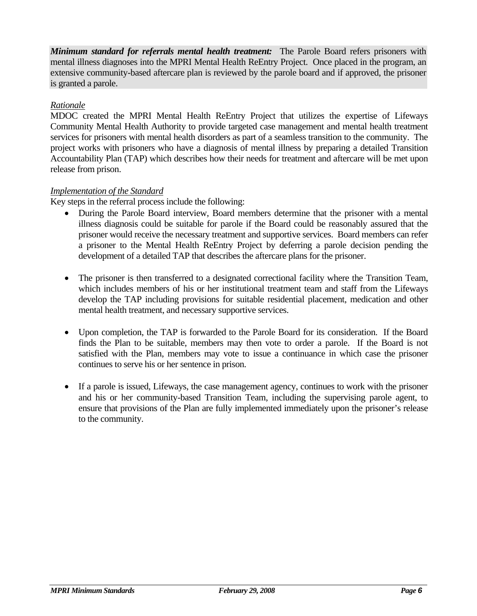*Minimum standard for referrals mental health treatment:* The Parole Board refers prisoners with mental illness diagnoses into the MPRI Mental Health ReEntry Project. Once placed in the program, an extensive community-based aftercare plan is reviewed by the parole board and if approved, the prisoner is granted a parole.

#### *Rationale*

MDOC created the MPRI Mental Health ReEntry Project that utilizes the expertise of Lifeways Community Mental Health Authority to provide targeted case management and mental health treatment services for prisoners with mental health disorders as part of a seamless transition to the community. The project works with prisoners who have a diagnosis of mental illness by preparing a detailed Transition Accountability Plan (TAP) which describes how their needs for treatment and aftercare will be met upon release from prison.

#### *Implementation of the Standard*

Key steps in the referral process include the following:

- During the Parole Board interview, Board members determine that the prisoner with a mental illness diagnosis could be suitable for parole if the Board could be reasonably assured that the prisoner would receive the necessary treatment and supportive services. Board members can refer a prisoner to the Mental Health ReEntry Project by deferring a parole decision pending the development of a detailed TAP that describes the aftercare plans for the prisoner.
- The prisoner is then transferred to a designated correctional facility where the Transition Team, which includes members of his or her institutional treatment team and staff from the Lifeways develop the TAP including provisions for suitable residential placement, medication and other mental health treatment, and necessary supportive services.
- Upon completion, the TAP is forwarded to the Parole Board for its consideration. If the Board finds the Plan to be suitable, members may then vote to order a parole. If the Board is not satisfied with the Plan, members may vote to issue a continuance in which case the prisoner continues to serve his or her sentence in prison.
- If a parole is issued, Lifeways, the case management agency, continues to work with the prisoner and his or her community-based Transition Team, including the supervising parole agent, to ensure that provisions of the Plan are fully implemented immediately upon the prisoner's release to the community.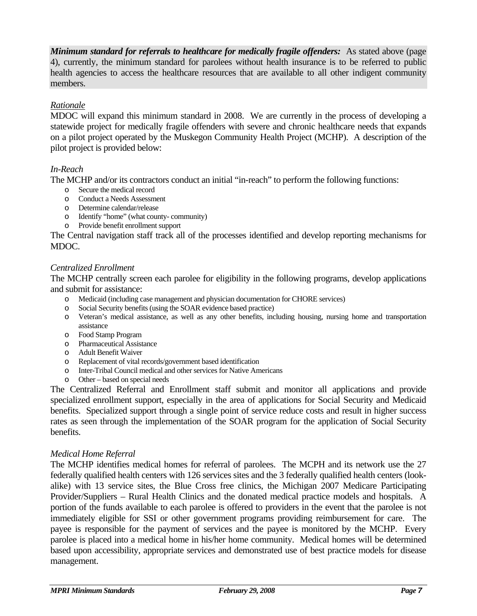*Minimum standard for referrals to healthcare for medically fragile offenders:* As stated above (page 4), currently, the minimum standard for parolees without health insurance is to be referred to public health agencies to access the healthcare resources that are available to all other indigent community members.

#### *Rationale*

MDOC will expand this minimum standard in 2008. We are currently in the process of developing a statewide project for medically fragile offenders with severe and chronic healthcare needs that expands on a pilot project operated by the Muskegon Community Health Project (MCHP). A description of the pilot project is provided below:

#### *In-Reach*

The MCHP and/or its contractors conduct an initial "in-reach" to perform the following functions:

- o Secure the medical record
- o Conduct a Needs Assessment
- o Determine calendar/release
- o Identify "home" (what county- community)
- o Provide benefit enrollment support

The Central navigation staff track all of the processes identified and develop reporting mechanisms for MDOC.

#### *Centralized Enrollment*

The MCHP centrally screen each parolee for eligibility in the following programs, develop applications and submit for assistance:

- o Medicaid (including case management and physician documentation for CHORE services)
- o Social Security benefits (using the SOAR evidence based practice)
- o Veteran's medical assistance, as well as any other benefits, including housing, nursing home and transportation assistance
- o Food Stamp Program
- o Pharmaceutical Assistance
- o Adult Benefit Waiver
- o Replacement of vital records/government based identification
- o Inter-Tribal Council medical and other services for Native Americans
- o Other based on special needs

The Centralized Referral and Enrollment staff submit and monitor all applications and provide specialized enrollment support, especially in the area of applications for Social Security and Medicaid benefits. Specialized support through a single point of service reduce costs and result in higher success rates as seen through the implementation of the SOAR program for the application of Social Security benefits.

#### *Medical Home Referral*

The MCHP identifies medical homes for referral of parolees. The MCPH and its network use the 27 federally qualified health centers with 126 services sites and the 3 federally qualified health centers (lookalike) with 13 service sites, the Blue Cross free clinics, the Michigan 2007 Medicare Participating Provider/Suppliers – Rural Health Clinics and the donated medical practice models and hospitals. A portion of the funds available to each parolee is offered to providers in the event that the parolee is not immediately eligible for SSI or other government programs providing reimbursement for care. The payee is responsible for the payment of services and the payee is monitored by the MCHP. Every parolee is placed into a medical home in his/her home community. Medical homes will be determined based upon accessibility, appropriate services and demonstrated use of best practice models for disease management.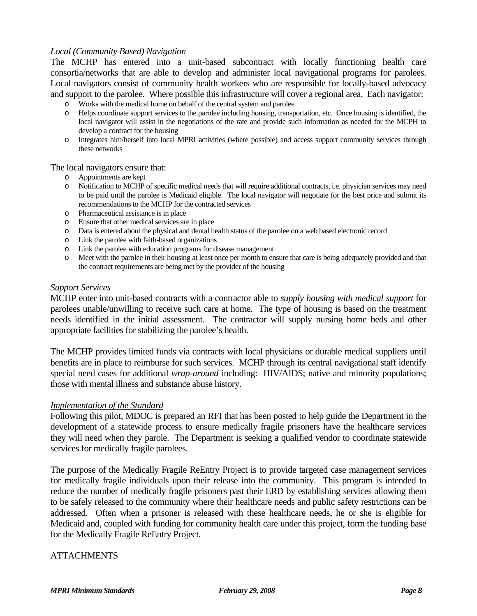#### *Local (Community Based) Navigation*

The MCHP has entered into a unit-based subcontract with locally functioning health care consortia/networks that are able to develop and administer local navigational programs for parolees. Local navigators consist of community health workers who are responsible for locally-based advocacy and support to the parolee. Where possible this infrastructure will cover a regional area. Each navigator:

- o Works with the medical home on behalf of the central system and parolee
- o Helps coordinate support services to the parolee including housing, transportation, etc. Once housing is identified, the local navigator will assist in the negotiations of the rate and provide such information as needed for the MCPH to develop a contract for the housing
- o Integrates him/herself into local MPRI activities (where possible) and access support community services through these networks

#### The local navigators ensure that:

- o Appointments are kept
- o Notification to MCHP of specific medical needs that will require additional contracts, i.e. physician services may need to be paid until the parolee is Medicaid eligible. The local navigator will negotiate for the best price and submit its recommendations to the MCHP for the contracted services
- o Pharmaceutical assistance is in place
- o Ensure that other medical services are in place
- o Data is entered about the physical and dental health status of the parolee on a web based electronic record
- o Link the parolee with faith-based organizations
- o Link the parolee with education programs for disease management
- o Meet with the parolee in their housing at least once per month to ensure that care is being adequately provided and that the contract requirements are being met by the provider of the housing

#### *Support Services*

MCHP enter into unit-based contracts with a contractor able to *supply housing with medical support* for parolees unable/unwilling to receive such care at home. The type of housing is based on the treatment needs identified in the initial assessment. The contractor will supply nursing home beds and other appropriate facilities for stabilizing the parolee's health.

The MCHP provides limited funds via contracts with local physicians or durable medical suppliers until benefits are in place to reimburse for such services. MCHP through its central navigational staff identify special need cases for additional *wrap-around* including: HIV/AIDS; native and minority populations; those with mental illness and substance abuse history.

#### *Implementation of the Standard*

Following this pilot, MDOC is prepared an RFI that has been posted to help guide the Department in the development of a statewide process to ensure medically fragile prisoners have the healthcare services they will need when they parole. The Department is seeking a qualified vendor to coordinate statewide services for medically fragile parolees.

The purpose of the Medically Fragile ReEntry Project is to provide targeted case management services for medically fragile individuals upon their release into the community. This program is intended to reduce the number of medically fragile prisoners past their ERD by establishing services allowing them to be safely released to the community where their healthcare needs and public safety restrictions can be addressed. Often when a prisoner is released with these healthcare needs, he or she is eligible for Medicaid and, coupled with funding for community health care under this project, form the funding base for the Medically Fragile ReEntry Project.

#### **ATTACHMENTS**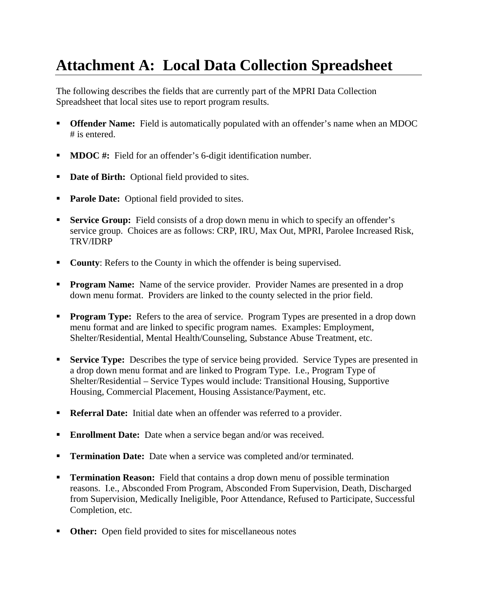# **Attachment A: Local Data Collection Spreadsheet**

The following describes the fields that are currently part of the MPRI Data Collection Spreadsheet that local sites use to report program results.

- **Offender Name:** Field is automatically populated with an offender's name when an MDOC # is entered.
- **MDOC** #: Field for an offender's 6-digit identification number.
- **Date of Birth:** Optional field provided to sites.
- **Parole Date:** Optional field provided to sites.
- **Service Group:** Field consists of a drop down menu in which to specify an offender's service group. Choices are as follows: CRP, IRU, Max Out, MPRI, Parolee Increased Risk, TRV/IDRP
- **County:** Refers to the County in which the offender is being supervised.
- **Program Name:** Name of the service provider. Provider Names are presented in a drop down menu format. Providers are linked to the county selected in the prior field.
- **Program Type:** Refers to the area of service. Program Types are presented in a drop down menu format and are linked to specific program names. Examples: Employment, Shelter/Residential, Mental Health/Counseling, Substance Abuse Treatment, etc.
- **Service Type:** Describes the type of service being provided. Service Types are presented in a drop down menu format and are linked to Program Type. I.e., Program Type of Shelter/Residential – Service Types would include: Transitional Housing, Supportive Housing, Commercial Placement, Housing Assistance/Payment, etc.
- **Referral Date:** Initial date when an offender was referred to a provider.
- **Enrollment Date:** Date when a service began and/or was received.
- **Termination Date:** Date when a service was completed and/or terminated.
- **Termination Reason:** Field that contains a drop down menu of possible termination reasons. I.e., Absconded From Program, Absconded From Supervision, Death, Discharged from Supervision, Medically Ineligible, Poor Attendance, Refused to Participate, Successful Completion, etc.
- **Other:** Open field provided to sites for miscellaneous notes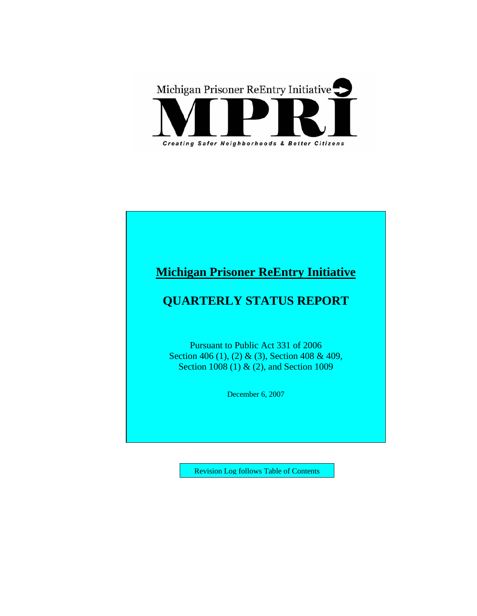

## **Michigan Prisoner ReEntry Initiative**

## **QUARTERLY STATUS REPORT**

Pursuant to Public Act 331 of 2006 Section 406 (1), (2) & (3), Section 408 & 409, Section 1008 (1) & (2), and Section 1009

December 6, 2007

Revision Log follows Table of Contents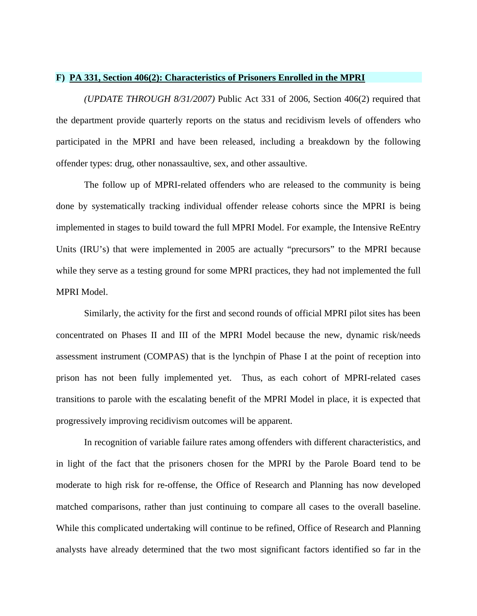#### **F) PA 331, Section 406(2): Characteristics of Prisoners Enrolled in the MPRI**

*(UPDATE THROUGH 8/31/2007)* Public Act 331 of 2006, Section 406(2) required that the department provide quarterly reports on the status and recidivism levels of offenders who participated in the MPRI and have been released, including a breakdown by the following offender types: drug, other nonassaultive, sex, and other assaultive.

The follow up of MPRI-related offenders who are released to the community is being done by systematically tracking individual offender release cohorts since the MPRI is being implemented in stages to build toward the full MPRI Model. For example, the Intensive ReEntry Units (IRU's) that were implemented in 2005 are actually "precursors" to the MPRI because while they serve as a testing ground for some MPRI practices, they had not implemented the full MPRI Model.

Similarly, the activity for the first and second rounds of official MPRI pilot sites has been concentrated on Phases II and III of the MPRI Model because the new, dynamic risk/needs assessment instrument (COMPAS) that is the lynchpin of Phase I at the point of reception into prison has not been fully implemented yet. Thus, as each cohort of MPRI-related cases transitions to parole with the escalating benefit of the MPRI Model in place, it is expected that progressively improving recidivism outcomes will be apparent.

In recognition of variable failure rates among offenders with different characteristics, and in light of the fact that the prisoners chosen for the MPRI by the Parole Board tend to be moderate to high risk for re-offense, the Office of Research and Planning has now developed matched comparisons, rather than just continuing to compare all cases to the overall baseline. While this complicated undertaking will continue to be refined, Office of Research and Planning analysts have already determined that the two most significant factors identified so far in the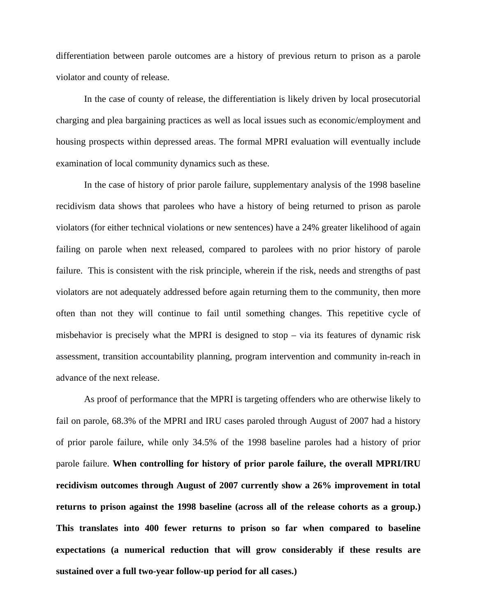differentiation between parole outcomes are a history of previous return to prison as a parole violator and county of release.

In the case of county of release, the differentiation is likely driven by local prosecutorial charging and plea bargaining practices as well as local issues such as economic/employment and housing prospects within depressed areas. The formal MPRI evaluation will eventually include examination of local community dynamics such as these.

In the case of history of prior parole failure, supplementary analysis of the 1998 baseline recidivism data shows that parolees who have a history of being returned to prison as parole violators (for either technical violations or new sentences) have a 24% greater likelihood of again failing on parole when next released, compared to parolees with no prior history of parole failure. This is consistent with the risk principle, wherein if the risk, needs and strengths of past violators are not adequately addressed before again returning them to the community, then more often than not they will continue to fail until something changes. This repetitive cycle of misbehavior is precisely what the MPRI is designed to stop – via its features of dynamic risk assessment, transition accountability planning, program intervention and community in-reach in advance of the next release.

As proof of performance that the MPRI is targeting offenders who are otherwise likely to fail on parole, 68.3% of the MPRI and IRU cases paroled through August of 2007 had a history of prior parole failure, while only 34.5% of the 1998 baseline paroles had a history of prior parole failure. **When controlling for history of prior parole failure, the overall MPRI/IRU recidivism outcomes through August of 2007 currently show a 26% improvement in total returns to prison against the 1998 baseline (across all of the release cohorts as a group.) This translates into 400 fewer returns to prison so far when compared to baseline expectations (a numerical reduction that will grow considerably if these results are sustained over a full two-year follow-up period for all cases.)**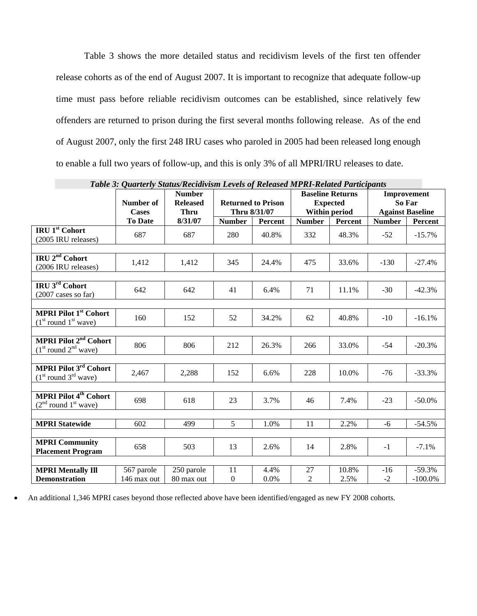Table 3 shows the more detailed status and recidivism levels of the first ten offender release cohorts as of the end of August 2007. It is important to recognize that adequate follow-up time must pass before reliable recidivism outcomes can be established, since relatively few offenders are returned to prison during the first several months following release. As of the end of August 2007, only the first 248 IRU cases who paroled in 2005 had been released long enough to enable a full two years of follow-up, and this is only 3% of all MPRI/IRU releases to date.

| Table 3: Quarterly Status/Recidivism Levels of Released MPRI-Related Participants |              |                 |                           |         |                 |         |                         |            |
|-----------------------------------------------------------------------------------|--------------|-----------------|---------------------------|---------|-----------------|---------|-------------------------|------------|
|                                                                                   |              | <b>Number</b>   | <b>Baseline Returns</b>   |         | Improvement     |         |                         |            |
|                                                                                   | Number of    | <b>Released</b> | <b>Returned to Prison</b> |         | <b>Expected</b> |         | So Far                  |            |
|                                                                                   | <b>Cases</b> | <b>Thru</b>     | Thru 8/31/07              |         | Within period   |         | <b>Against Baseline</b> |            |
|                                                                                   | To Date      | 8/31/07         | <b>Number</b>             | Percent | <b>Number</b>   | Percent | <b>Number</b>           | Percent    |
| <b>IRU 1st Cohort</b>                                                             | 687          | 687             | 280                       | 40.8%   | 332             | 48.3%   | $-52$                   | $-15.7\%$  |
| (2005 IRU releases)                                                               |              |                 |                           |         |                 |         |                         |            |
|                                                                                   |              |                 |                           |         |                 |         |                         |            |
| IRU 2 <sup>nd</sup> Cohort<br>(2006 IRU releases)                                 | 1,412        | 1,412           | 345                       | 24.4%   | 475             | 33.6%   | $-130$                  | $-27.4%$   |
|                                                                                   |              |                 |                           |         |                 |         |                         |            |
| IRU 3rd Cohort                                                                    | 642          | 642             | 41                        | 6.4%    | 71              | 11.1%   | $-30$                   | $-42.3%$   |
| $(2007 \text{ cases so far})$                                                     |              |                 |                           |         |                 |         |                         |            |
|                                                                                   |              |                 |                           |         |                 |         |                         |            |
| <b>MPRI Pilot 1st Cohort</b><br>$(1st$ round $1st$ wave)                          | 160          | 152             | 52                        | 34.2%   | 62              | 40.8%   | $-10$                   | $-16.1%$   |
|                                                                                   |              |                 |                           |         |                 |         |                         |            |
| <b>MPRI Pilot 2<sup>nd</sup> Cohort</b><br>$(1st$ round $2nd$ wave)               | 806          | 806             | 212                       | 26.3%   | 266             | 33.0%   | $-54$                   | $-20.3%$   |
|                                                                                   |              |                 |                           |         |                 |         |                         |            |
| MPRI Pilot 3rd Cohort<br>$(1st$ round $3rd$ wave)                                 | 2,467        | 2,288           | 152                       | 6.6%    | 228             | 10.0%   | $-76$                   | $-33.3%$   |
|                                                                                   |              |                 |                           |         |                 |         |                         |            |
| <b>MPRI Pilot 4th Cohort</b><br>$(2nd$ round $1st$ wave)                          | 698          | 618             | 23                        | 3.7%    | 46              | 7.4%    | $-23$                   | $-50.0\%$  |
|                                                                                   |              |                 |                           |         |                 |         |                         |            |
| <b>MPRI Statewide</b>                                                             | 602          | 499             | 5                         | 1.0%    | 11              | 2.2%    | $-6$                    | $-54.5%$   |
|                                                                                   |              |                 |                           |         |                 |         |                         |            |
| <b>MPRI Community</b>                                                             | 658          | 503             | 13                        | 2.6%    | 14              | 2.8%    | $-1$                    | $-7.1%$    |
| <b>Placement Program</b>                                                          |              |                 |                           |         |                 |         |                         |            |
|                                                                                   |              |                 |                           |         |                 |         |                         |            |
| <b>MPRI Mentally Ill</b>                                                          | 567 parole   | 250 parole      | 11                        | 4.4%    | 27              | 10.8%   | $-16$                   | $-59.3%$   |
| <b>Demonstration</b>                                                              | 146 max out  | 80 max out      | $\boldsymbol{0}$          | 0.0%    | 2               | 2.5%    | $-2$                    | $-100.0\%$ |

• An additional 1,346 MPRI cases beyond those reflected above have been identified/engaged as new FY 2008 cohorts.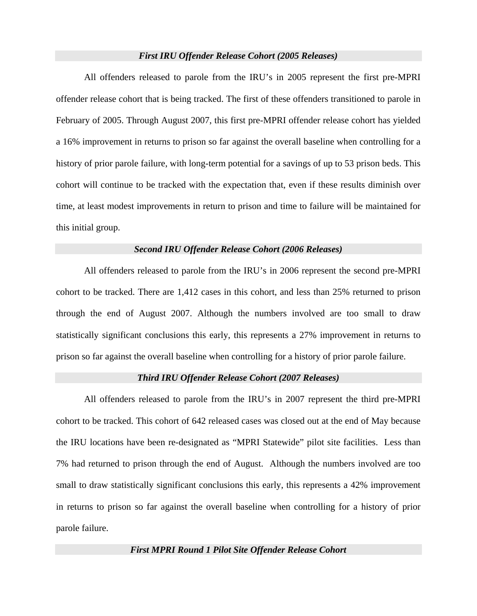#### *First IRU Offender Release Cohort (2005 Releases)*

All offenders released to parole from the IRU's in 2005 represent the first pre-MPRI offender release cohort that is being tracked. The first of these offenders transitioned to parole in February of 2005. Through August 2007, this first pre-MPRI offender release cohort has yielded a 16% improvement in returns to prison so far against the overall baseline when controlling for a history of prior parole failure, with long-term potential for a savings of up to 53 prison beds. This cohort will continue to be tracked with the expectation that, even if these results diminish over time, at least modest improvements in return to prison and time to failure will be maintained for this initial group.

#### *Second IRU Offender Release Cohort (2006 Releases)*

All offenders released to parole from the IRU's in 2006 represent the second pre-MPRI cohort to be tracked. There are 1,412 cases in this cohort, and less than 25% returned to prison through the end of August 2007. Although the numbers involved are too small to draw statistically significant conclusions this early, this represents a 27% improvement in returns to prison so far against the overall baseline when controlling for a history of prior parole failure.

#### *Third IRU Offender Release Cohort (2007 Releases)*

All offenders released to parole from the IRU's in 2007 represent the third pre-MPRI cohort to be tracked. This cohort of 642 released cases was closed out at the end of May because the IRU locations have been re-designated as "MPRI Statewide" pilot site facilities. Less than 7% had returned to prison through the end of August. Although the numbers involved are too small to draw statistically significant conclusions this early, this represents a 42% improvement in returns to prison so far against the overall baseline when controlling for a history of prior parole failure.

*First MPRI Round 1 Pilot Site Offender Release Cohort*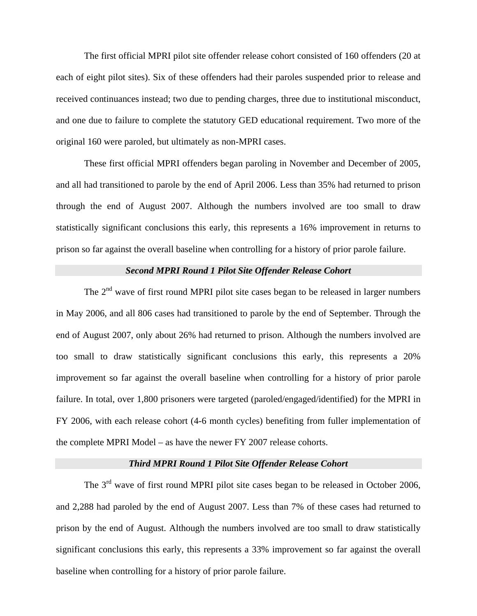The first official MPRI pilot site offender release cohort consisted of 160 offenders (20 at each of eight pilot sites). Six of these offenders had their paroles suspended prior to release and received continuances instead; two due to pending charges, three due to institutional misconduct, and one due to failure to complete the statutory GED educational requirement. Two more of the original 160 were paroled, but ultimately as non-MPRI cases.

These first official MPRI offenders began paroling in November and December of 2005, and all had transitioned to parole by the end of April 2006. Less than 35% had returned to prison through the end of August 2007. Although the numbers involved are too small to draw statistically significant conclusions this early, this represents a 16% improvement in returns to prison so far against the overall baseline when controlling for a history of prior parole failure.

#### *Second MPRI Round 1 Pilot Site Offender Release Cohort*

The  $2<sup>nd</sup>$  wave of first round MPRI pilot site cases began to be released in larger numbers in May 2006, and all 806 cases had transitioned to parole by the end of September. Through the end of August 2007, only about 26% had returned to prison. Although the numbers involved are too small to draw statistically significant conclusions this early, this represents a 20% improvement so far against the overall baseline when controlling for a history of prior parole failure. In total, over 1,800 prisoners were targeted (paroled/engaged/identified) for the MPRI in FY 2006, with each release cohort (4-6 month cycles) benefiting from fuller implementation of the complete MPRI Model – as have the newer FY 2007 release cohorts.

#### *Third MPRI Round 1 Pilot Site Offender Release Cohort*

The 3<sup>rd</sup> wave of first round MPRI pilot site cases began to be released in October 2006, and 2,288 had paroled by the end of August 2007. Less than 7% of these cases had returned to prison by the end of August. Although the numbers involved are too small to draw statistically significant conclusions this early, this represents a 33% improvement so far against the overall baseline when controlling for a history of prior parole failure.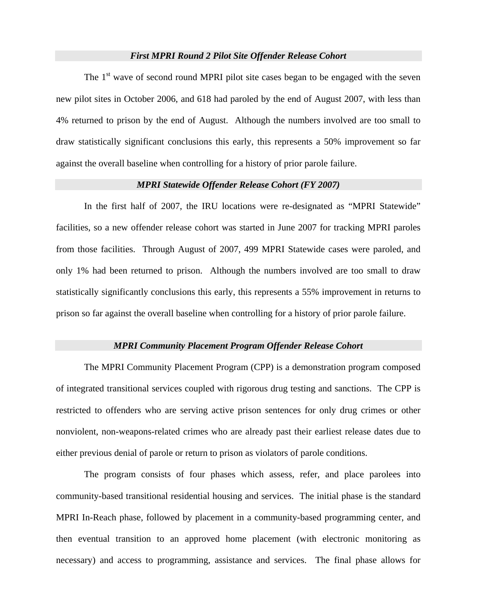#### *First MPRI Round 2 Pilot Site Offender Release Cohort*

The  $1<sup>st</sup>$  wave of second round MPRI pilot site cases began to be engaged with the seven new pilot sites in October 2006, and 618 had paroled by the end of August 2007, with less than 4% returned to prison by the end of August. Although the numbers involved are too small to draw statistically significant conclusions this early, this represents a 50% improvement so far against the overall baseline when controlling for a history of prior parole failure.

#### *MPRI Statewide Offender Release Cohort (FY 2007)*

In the first half of 2007, the IRU locations were re-designated as "MPRI Statewide" facilities, so a new offender release cohort was started in June 2007 for tracking MPRI paroles from those facilities. Through August of 2007, 499 MPRI Statewide cases were paroled, and only 1% had been returned to prison. Although the numbers involved are too small to draw statistically significantly conclusions this early, this represents a 55% improvement in returns to prison so far against the overall baseline when controlling for a history of prior parole failure.

#### *MPRI Community Placement Program Offender Release Cohort*

The MPRI Community Placement Program (CPP) is a demonstration program composed of integrated transitional services coupled with rigorous drug testing and sanctions. The CPP is restricted to offenders who are serving active prison sentences for only drug crimes or other nonviolent, non-weapons-related crimes who are already past their earliest release dates due to either previous denial of parole or return to prison as violators of parole conditions.

The program consists of four phases which assess, refer, and place parolees into community-based transitional residential housing and services. The initial phase is the standard MPRI In-Reach phase, followed by placement in a community-based programming center, and then eventual transition to an approved home placement (with electronic monitoring as necessary) and access to programming, assistance and services. The final phase allows for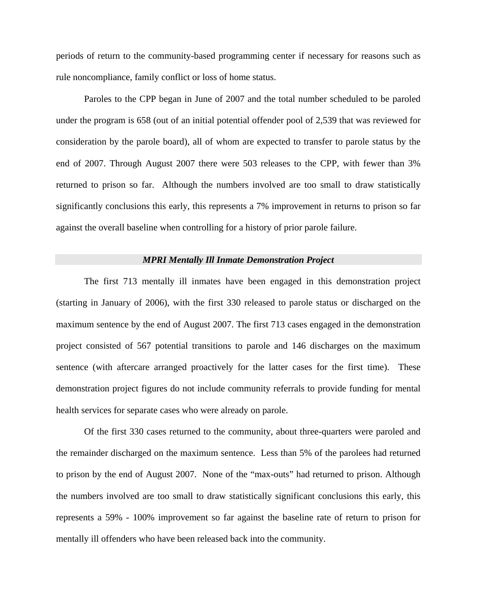periods of return to the community-based programming center if necessary for reasons such as rule noncompliance, family conflict or loss of home status.

Paroles to the CPP began in June of 2007 and the total number scheduled to be paroled under the program is 658 (out of an initial potential offender pool of 2,539 that was reviewed for consideration by the parole board), all of whom are expected to transfer to parole status by the end of 2007. Through August 2007 there were 503 releases to the CPP, with fewer than 3% returned to prison so far. Although the numbers involved are too small to draw statistically significantly conclusions this early, this represents a 7% improvement in returns to prison so far against the overall baseline when controlling for a history of prior parole failure.

#### *MPRI Mentally Ill Inmate Demonstration Project*

The first 713 mentally ill inmates have been engaged in this demonstration project (starting in January of 2006), with the first 330 released to parole status or discharged on the maximum sentence by the end of August 2007. The first 713 cases engaged in the demonstration project consisted of 567 potential transitions to parole and 146 discharges on the maximum sentence (with aftercare arranged proactively for the latter cases for the first time). These demonstration project figures do not include community referrals to provide funding for mental health services for separate cases who were already on parole.

Of the first 330 cases returned to the community, about three-quarters were paroled and the remainder discharged on the maximum sentence. Less than 5% of the parolees had returned to prison by the end of August 2007. None of the "max-outs" had returned to prison. Although the numbers involved are too small to draw statistically significant conclusions this early, this represents a 59% - 100% improvement so far against the baseline rate of return to prison for mentally ill offenders who have been released back into the community.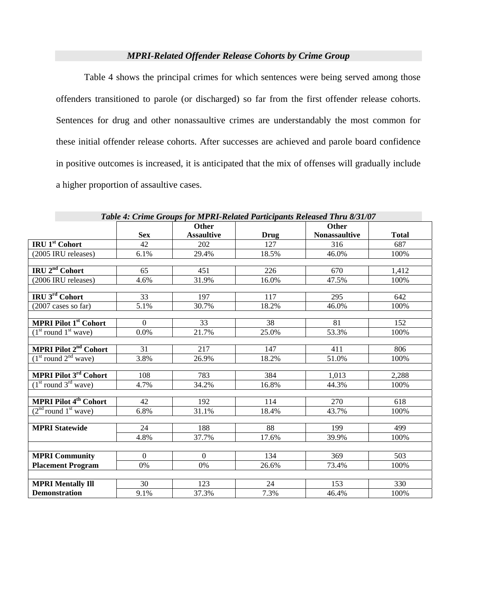#### *MPRI-Related Offender Release Cohorts by Crime Group*

Table 4 shows the principal crimes for which sentences were being served among those offenders transitioned to parole (or discharged) so far from the first offender release cohorts. Sentences for drug and other nonassaultive crimes are understandably the most common for these initial offender release cohorts. After successes are achieved and parole board confidence in positive outcomes is increased, it is anticipated that the mix of offenses will gradually include a higher proportion of assaultive cases.

|                                         |            | <b>Other</b>      |       | таже 7. Стине Огоиру јог на ка-кенией 1 иниераниз кенеизей 1 нги 0/51/07<br><b>Other</b> |              |
|-----------------------------------------|------------|-------------------|-------|------------------------------------------------------------------------------------------|--------------|
|                                         | <b>Sex</b> | <b>Assaultive</b> | Drug  | <b>Nonassaultive</b>                                                                     | <b>Total</b> |
| <b>IRU 1st Cohort</b>                   | 42         | 202               | 127   | 316                                                                                      | 687          |
| (2005 IRU releases)                     | 6.1%       | 29.4%             | 18.5% | 46.0%                                                                                    | 100%         |
|                                         |            |                   |       |                                                                                          |              |
| IRU 2 <sup>nd</sup> Cohort              | 65         | 451               | 226   | 670                                                                                      | 1,412        |
| (2006 IRU releases)                     | 4.6%       | 31.9%             | 16.0% | 47.5%                                                                                    | 100%         |
| IRU 3rd Cohort                          | 33         | 197               | 117   | 295                                                                                      | 642          |
| (2007 cases so far)                     | 5.1%       | 30.7%             | 18.2% | 46.0%                                                                                    | 100%         |
|                                         |            |                   |       |                                                                                          |              |
| <b>MPRI Pilot 1st Cohort</b>            | $\Omega$   | 33                | 38    | 81                                                                                       | 152          |
| $(1st$ round $1st$ wave)                | $0.0\%$    | 21.7%             | 25.0% | 53.3%                                                                                    | 100%         |
|                                         |            |                   |       |                                                                                          |              |
| MPRI Pilot 2 <sup>nd</sup> Cohort       | 31         | 217               | 147   | 411                                                                                      | 806          |
| $(1st$ round $2nd$ wave)                | 3.8%       | 26.9%             | 18.2% | 51.0%                                                                                    | 100%         |
| <b>MPRI Pilot 3rd Cohort</b>            |            |                   |       |                                                                                          |              |
|                                         | 108        | 783               | 384   | 1,013                                                                                    | 2,288        |
| $(1st$ round $3rd$ wave)                | 4.7%       | 34.2%             | 16.8% | 44.3%                                                                                    | 100%         |
| <b>MPRI Pilot 4<sup>th</sup> Cohort</b> | 42         | 192               | 114   | 270                                                                                      | 618          |
| $(2nd$ round $1st$ wave)                | 6.8%       | 31.1%             | 18.4% | 43.7%                                                                                    | 100%         |
|                                         |            |                   |       |                                                                                          |              |
| <b>MPRI Statewide</b>                   | 24         | 188               | 88    | 199                                                                                      | 499          |
|                                         | 4.8%       | 37.7%             | 17.6% | 39.9%                                                                                    | 100%         |
|                                         |            |                   |       |                                                                                          |              |
| <b>MPRI Community</b>                   | $\Omega$   | $\theta$          | 134   | 369                                                                                      | 503          |
| <b>Placement Program</b>                | 0%         | 0%                | 26.6% | 73.4%                                                                                    | 100%         |
|                                         |            |                   |       |                                                                                          |              |
| <b>MPRI Mentally Ill</b>                | 30         | 123               | 24    | 153                                                                                      | 330          |
| <b>Demonstration</b>                    | 9.1%       | 37.3%             | 7.3%  | 46.4%                                                                                    | 100%         |

*Table 4: Crime Groups for MPRI-Related Participants Released Thru 8/31/07*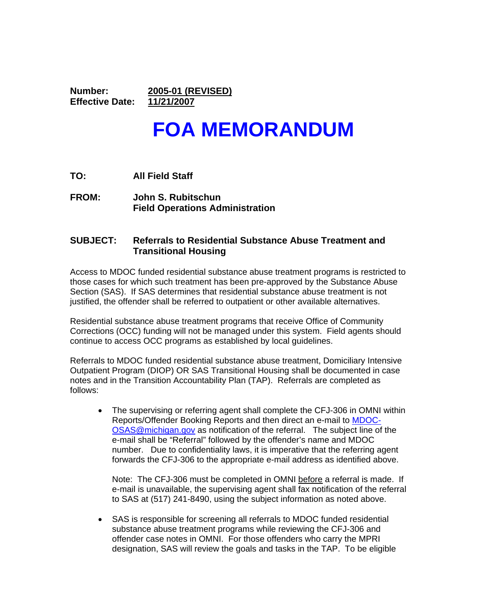**Number: 2005-01 (REVISED) Effective Date: 11/21/2007** 

# **FOA MEMORANDUM**

- **TO: All Field Staff**
- **FROM: John S. Rubitschun Field Operations Administration**

#### **SUBJECT: Referrals to Residential Substance Abuse Treatment and Transitional Housing**

Access to MDOC funded residential substance abuse treatment programs is restricted to those cases for which such treatment has been pre-approved by the Substance Abuse Section (SAS). If SAS determines that residential substance abuse treatment is not justified, the offender shall be referred to outpatient or other available alternatives.

Residential substance abuse treatment programs that receive Office of Community Corrections (OCC) funding will not be managed under this system. Field agents should continue to access OCC programs as established by local guidelines.

Referrals to MDOC funded residential substance abuse treatment, Domiciliary Intensive Outpatient Program (DIOP) OR SAS Transitional Housing shall be documented in case notes and in the Transition Accountability Plan (TAP). Referrals are completed as follows:

• The supervising or referring agent shall complete the CFJ-306 in OMNI within Reports/Offender Booking Reports and then direct an e-mail to MDOC-OSAS@michigan.gov as notification of the referral. The subject line of the e-mail shall be "Referral" followed by the offender's name and MDOC number. Due to confidentiality laws, it is imperative that the referring agent forwards the CFJ-306 to the appropriate e-mail address as identified above.

Note: The CFJ-306 must be completed in OMNI before a referral is made. If e-mail is unavailable, the supervising agent shall fax notification of the referral to SAS at (517) 241-8490, using the subject information as noted above.

• SAS is responsible for screening all referrals to MDOC funded residential substance abuse treatment programs while reviewing the CFJ-306 and offender case notes in OMNI. For those offenders who carry the MPRI designation, SAS will review the goals and tasks in the TAP. To be eligible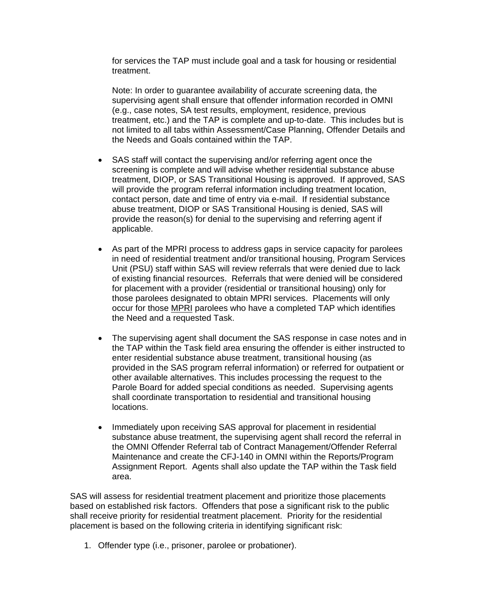for services the TAP must include goal and a task for housing or residential treatment.

Note: In order to guarantee availability of accurate screening data, the supervising agent shall ensure that offender information recorded in OMNI (e.g., case notes, SA test results, employment, residence, previous treatment, etc.) and the TAP is complete and up-to-date. This includes but is not limited to all tabs within Assessment/Case Planning, Offender Details and the Needs and Goals contained within the TAP.

- SAS staff will contact the supervising and/or referring agent once the screening is complete and will advise whether residential substance abuse treatment, DIOP, or SAS Transitional Housing is approved. If approved, SAS will provide the program referral information including treatment location, contact person, date and time of entry via e-mail. If residential substance abuse treatment, DIOP or SAS Transitional Housing is denied, SAS will provide the reason(s) for denial to the supervising and referring agent if applicable.
- As part of the MPRI process to address gaps in service capacity for parolees in need of residential treatment and/or transitional housing, Program Services Unit (PSU) staff within SAS will review referrals that were denied due to lack of existing financial resources. Referrals that were denied will be considered for placement with a provider (residential or transitional housing) only for those parolees designated to obtain MPRI services. Placements will only occur for those MPRI parolees who have a completed TAP which identifies the Need and a requested Task.
- The supervising agent shall document the SAS response in case notes and in the TAP within the Task field area ensuring the offender is either instructed to enter residential substance abuse treatment, transitional housing (as provided in the SAS program referral information) or referred for outpatient or other available alternatives. This includes processing the request to the Parole Board for added special conditions as needed. Supervising agents shall coordinate transportation to residential and transitional housing locations.
- Immediately upon receiving SAS approval for placement in residential substance abuse treatment, the supervising agent shall record the referral in the OMNI Offender Referral tab of Contract Management/Offender Referral Maintenance and create the CFJ-140 in OMNI within the Reports/Program Assignment Report. Agents shall also update the TAP within the Task field area.

SAS will assess for residential treatment placement and prioritize those placements based on established risk factors. Offenders that pose a significant risk to the public shall receive priority for residential treatment placement. Priority for the residential placement is based on the following criteria in identifying significant risk:

1. Offender type (i.e., prisoner, parolee or probationer).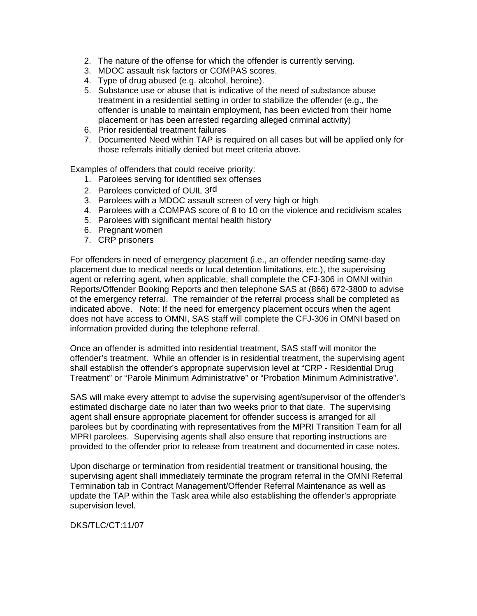- 2. The nature of the offense for which the offender is currently serving.
- 3. MDOC assault risk factors or COMPAS scores.
- 4. Type of drug abused (e.g. alcohol, heroine).
- 5. Substance use or abuse that is indicative of the need of substance abuse treatment in a residential setting in order to stabilize the offender (e.g., the offender is unable to maintain employment, has been evicted from their home placement or has been arrested regarding alleged criminal activity)
- 6. Prior residential treatment failures
- 7. Documented Need within TAP is required on all cases but will be applied only for those referrals initially denied but meet criteria above.

Examples of offenders that could receive priority:

- 1. Parolees serving for identified sex offenses
- 2. Parolees convicted of OUIL 3rd
- 3. Parolees with a MDOC assault screen of very high or high
- 4. Parolees with a COMPAS score of 8 to 10 on the violence and recidivism scales
- 5. Parolees with significant mental health history
- 6. Pregnant women
- 7. CRP prisoners

For offenders in need of emergency placement (i.e., an offender needing same-day placement due to medical needs or local detention limitations, etc.), the supervising agent or referring agent, when applicable; shall complete the CFJ-306 in OMNI within Reports/Offender Booking Reports and then telephone SAS at (866) 672-3800 to advise of the emergency referral. The remainder of the referral process shall be completed as indicated above. Note: If the need for emergency placement occurs when the agent does not have access to OMNI, SAS staff will complete the CFJ-306 in OMNI based on information provided during the telephone referral.

Once an offender is admitted into residential treatment, SAS staff will monitor the offender's treatment. While an offender is in residential treatment, the supervising agent shall establish the offender's appropriate supervision level at "CRP - Residential Drug Treatment" or "Parole Minimum Administrative" or "Probation Minimum Administrative".

SAS will make every attempt to advise the supervising agent/supervisor of the offender's estimated discharge date no later than two weeks prior to that date. The supervising agent shall ensure appropriate placement for offender success is arranged for all parolees but by coordinating with representatives from the MPRI Transition Team for all MPRI parolees. Supervising agents shall also ensure that reporting instructions are provided to the offender prior to release from treatment and documented in case notes.

Upon discharge or termination from residential treatment or transitional housing, the supervising agent shall immediately terminate the program referral in the OMNI Referral Termination tab in Contract Management/Offender Referral Maintenance as well as update the TAP within the Task area while also establishing the offender's appropriate supervision level.

DKS/TLC/CT:11/07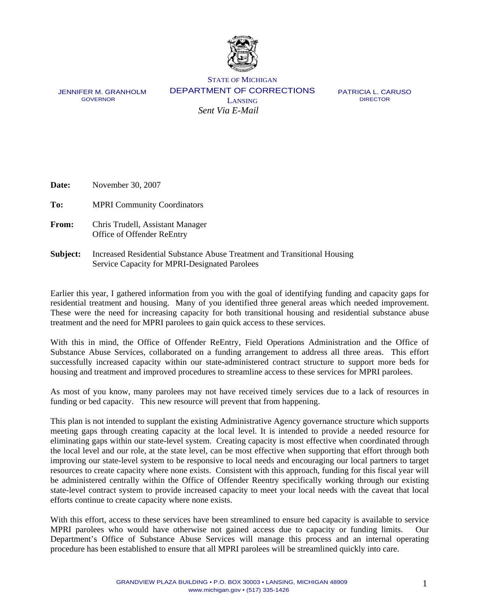

JENNIFER M. GRANHOLM GOVERNOR

STATE OF MICHIGAN DEPARTMENT OF CORRECTIONS LANSING *Sent Via E-Mail* 

 PATRICIA L. CARUSO DIRECTOR

**Date:** November 30, 2007

**To:** MPRI Community Coordinators

- **From:** Chris Trudell, Assistant Manager Office of Offender ReEntry
- **Subject:** Increased Residential Substance Abuse Treatment and Transitional Housing Service Capacity for MPRI-Designated Parolees

Earlier this year, I gathered information from you with the goal of identifying funding and capacity gaps for residential treatment and housing. Many of you identified three general areas which needed improvement. These were the need for increasing capacity for both transitional housing and residential substance abuse treatment and the need for MPRI parolees to gain quick access to these services.

With this in mind, the Office of Offender ReEntry, Field Operations Administration and the Office of Substance Abuse Services, collaborated on a funding arrangement to address all three areas. This effort successfully increased capacity within our state-administered contract structure to support more beds for housing and treatment and improved procedures to streamline access to these services for MPRI parolees.

As most of you know, many parolees may not have received timely services due to a lack of resources in funding or bed capacity. This new resource will prevent that from happening.

This plan is not intended to supplant the existing Administrative Agency governance structure which supports meeting gaps through creating capacity at the local level. It is intended to provide a needed resource for eliminating gaps within our state-level system. Creating capacity is most effective when coordinated through the local level and our role, at the state level, can be most effective when supporting that effort through both improving our state-level system to be responsive to local needs and encouraging our local partners to target resources to create capacity where none exists. Consistent with this approach, funding for this fiscal year will be administered centrally within the Office of Offender Reentry specifically working through our existing state-level contract system to provide increased capacity to meet your local needs with the caveat that local efforts continue to create capacity where none exists.

With this effort, access to these services have been streamlined to ensure bed capacity is available to service MPRI parolees who would have otherwise not gained access due to capacity or funding limits. Our Department's Office of Substance Abuse Services will manage this process and an internal operating procedure has been established to ensure that all MPRI parolees will be streamlined quickly into care.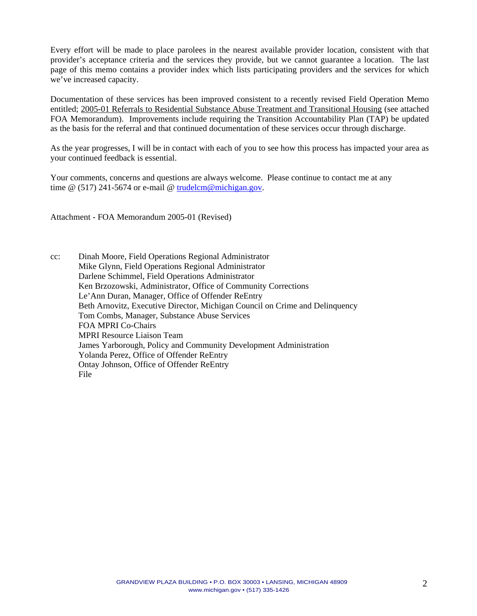Every effort will be made to place parolees in the nearest available provider location, consistent with that provider's acceptance criteria and the services they provide, but we cannot guarantee a location. The last page of this memo contains a provider index which lists participating providers and the services for which we've increased capacity.

Documentation of these services has been improved consistent to a recently revised Field Operation Memo entitled; 2005-01 Referrals to Residential Substance Abuse Treatment and Transitional Housing (see attached FOA Memorandum). Improvements include requiring the Transition Accountability Plan (TAP) be updated as the basis for the referral and that continued documentation of these services occur through discharge.

As the year progresses, I will be in contact with each of you to see how this process has impacted your area as your continued feedback is essential.

Your comments, concerns and questions are always welcome. Please continue to contact me at any time @ (517) 241-5674 or e-mail @ trudelcm@michigan.gov.

Attachment - FOA Memorandum 2005-01 (Revised)

cc: Dinah Moore, Field Operations Regional Administrator Mike Glynn, Field Operations Regional Administrator Darlene Schimmel, Field Operations Administrator Ken Brzozowski, Administrator, Office of Community Corrections Le'Ann Duran, Manager, Office of Offender ReEntry Beth Arnovitz, Executive Director, Michigan Council on Crime and Delinquency Tom Combs, Manager, Substance Abuse Services FOA MPRI Co-Chairs MPRI Resource Liaison Team James Yarborough, Policy and Community Development Administration Yolanda Perez, Office of Offender ReEntry Ontay Johnson, Office of Offender ReEntry File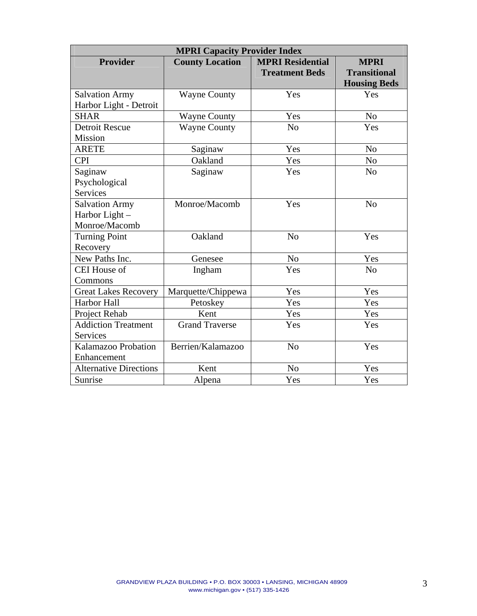| <b>MPRI Capacity Provider Index</b>      |                        |                         |                                            |  |  |
|------------------------------------------|------------------------|-------------------------|--------------------------------------------|--|--|
| <b>Provider</b>                          | <b>County Location</b> | <b>MPRI Residential</b> | <b>MPRI</b>                                |  |  |
|                                          |                        | <b>Treatment Beds</b>   | <b>Transitional</b><br><b>Housing Beds</b> |  |  |
| <b>Salvation Army</b>                    | <b>Wayne County</b>    | Yes                     | Yes                                        |  |  |
| Harbor Light - Detroit                   |                        |                         |                                            |  |  |
| <b>SHAR</b>                              | <b>Wayne County</b>    | Yes                     | N <sub>0</sub>                             |  |  |
| <b>Detroit Rescue</b>                    | <b>Wayne County</b>    | N <sub>o</sub>          | Yes                                        |  |  |
| Mission                                  |                        |                         |                                            |  |  |
| <b>ARETE</b>                             | Saginaw                | Yes                     | N <sub>o</sub>                             |  |  |
| <b>CPI</b>                               | Oakland                | Yes                     | N <sub>o</sub>                             |  |  |
| Saginaw                                  | Saginaw                | Yes                     | N <sub>0</sub>                             |  |  |
| Psychological                            |                        |                         |                                            |  |  |
| <b>Services</b>                          |                        |                         |                                            |  |  |
| <b>Salvation Army</b>                    | Monroe/Macomb          | Yes                     | N <sub>o</sub>                             |  |  |
| Harbor Light -                           |                        |                         |                                            |  |  |
| Monroe/Macomb                            |                        |                         |                                            |  |  |
| <b>Turning Point</b>                     | Oakland                | N <sub>o</sub>          | Yes                                        |  |  |
| Recovery                                 |                        |                         |                                            |  |  |
| New Paths Inc.                           | Genesee                | N <sub>o</sub>          | Yes                                        |  |  |
| <b>CEI House of</b>                      | Ingham                 | Yes                     | N <sub>0</sub>                             |  |  |
| Commons                                  |                        |                         |                                            |  |  |
| <b>Great Lakes Recovery</b>              | Marquette/Chippewa     | Yes                     | Yes                                        |  |  |
| Harbor Hall                              | Petoskey               | Yes                     | Yes                                        |  |  |
| Project Rehab                            | Kent                   | Yes                     | Yes                                        |  |  |
| <b>Addiction Treatment</b>               | <b>Grand Traverse</b>  | Yes                     | Yes                                        |  |  |
| Services                                 |                        |                         |                                            |  |  |
| Berrien/Kalamazoo<br>Kalamazoo Probation |                        | N <sub>o</sub>          | Yes                                        |  |  |
| Enhancement                              |                        |                         |                                            |  |  |
| <b>Alternative Directions</b>            | Kent                   | N <sub>o</sub>          | Yes                                        |  |  |
| Sunrise                                  | Alpena                 | Yes                     | Yes                                        |  |  |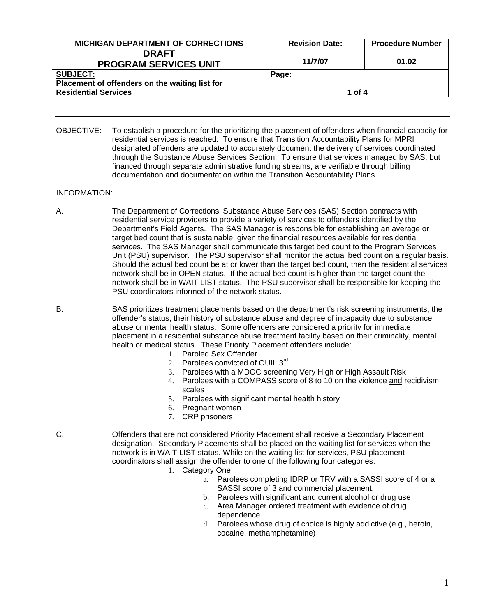| <b>Revision Date:</b> | <b>Procedure Number</b> |  |
|-----------------------|-------------------------|--|
|                       |                         |  |
|                       | 01.02                   |  |
| Page:                 |                         |  |
|                       |                         |  |
| 1 of 4                |                         |  |
|                       | 11/7/07                 |  |

OBJECTIVE: To establish a procedure for the prioritizing the placement of offenders when financial capacity for residential services is reached. To ensure that Transition Accountability Plans for MPRI designated offenders are updated to accurately document the delivery of services coordinated through the Substance Abuse Services Section. To ensure that services managed by SAS, but financed through separate administrative funding streams, are verifiable through billing documentation and documentation within the Transition Accountability Plans.

#### INFORMATION:

- A. The Department of Corrections' Substance Abuse Services (SAS) Section contracts with residential service providers to provide a variety of services to offenders identified by the Department's Field Agents. The SAS Manager is responsible for establishing an average or target bed count that is sustainable, given the financial resources available for residential services. The SAS Manager shall communicate this target bed count to the Program Services Unit (PSU) supervisor. The PSU supervisor shall monitor the actual bed count on a regular basis. Should the actual bed count be at or lower than the target bed count, then the residential services network shall be in OPEN status. If the actual bed count is higher than the target count the network shall be in WAIT LIST status. The PSU supervisor shall be responsible for keeping the PSU coordinators informed of the network status.
- B. SAS prioritizes treatment placements based on the department's risk screening instruments, the offender's status, their history of substance abuse and degree of incapacity due to substance abuse or mental health status. Some offenders are considered a priority for immediate placement in a residential substance abuse treatment facility based on their criminality, mental health or medical status. These Priority Placement offenders include:
	- 1. Paroled Sex Offender
	- 2. Parolees convicted of OUIL 3rd
	- 3. Parolees with a MDOC screening Very High or High Assault Risk
	- 4. Parolees with a COMPASS score of 8 to 10 on the violence and recidivism scales
	- 5. Parolees with significant mental health history
	- 6. Pregnant women
	- 7. CRP prisoners
- C. Offenders that are not considered Priority Placement shall receive a Secondary Placement designation. Secondary Placements shall be placed on the waiting list for services when the network is in WAIT LIST status. While on the waiting list for services, PSU placement coordinators shall assign the offender to one of the following four categories:
	- 1. Category One
		- a. Parolees completing IDRP or TRV with a SASSI score of 4 or a SASSI score of 3 and commercial placement.
			- b. Parolees with significant and current alcohol or drug use
		- c. Area Manager ordered treatment with evidence of drug dependence.
		- d. Parolees whose drug of choice is highly addictive (e.g., heroin, cocaine, methamphetamine)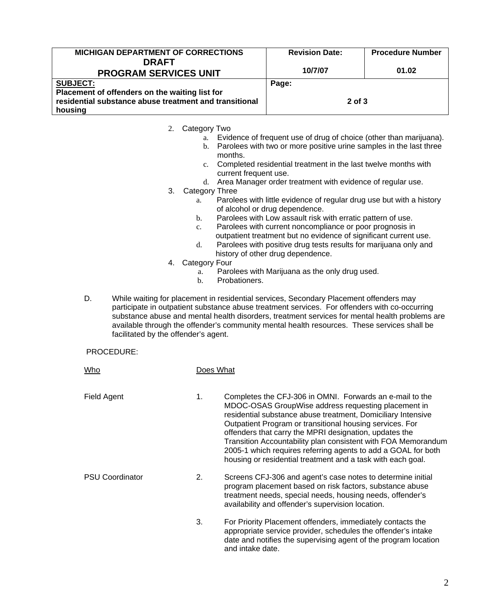| <b>MICHIGAN DEPARTMENT OF CORRECTIONS</b>                                                                | <b>Revision Date:</b> | <b>Procedure Number</b> |
|----------------------------------------------------------------------------------------------------------|-----------------------|-------------------------|
| <b>DRAFT</b>                                                                                             |                       |                         |
| <b>PROGRAM SERVICES UNIT</b>                                                                             | 10/7/07               | 01.02                   |
| <b>SUBJECT:</b>                                                                                          | Page:                 |                         |
| Placement of offenders on the waiting list for<br>residential substance abuse treatment and transitional | $2$ of $3$            |                         |
| housing                                                                                                  |                       |                         |

2. Category Two

- a. Evidence of frequent use of drug of choice (other than marijuana).
- b. Parolees with two or more positive urine samples in the last three months.
- c. Completed residential treatment in the last twelve months with current frequent use.
- d. Area Manager order treatment with evidence of regular use.
- 3. Category Three
	- a. Parolees with little evidence of regular drug use but with a history of alcohol or drug dependence.
	- b. Parolees with Low assault risk with erratic pattern of use.
	- c. Parolees with current noncompliance or poor prognosis in outpatient treatment but no evidence of significant current use.
	- d. Parolees with positive drug tests results for marijuana only and history of other drug dependence.
- 4. Category Four
	- a. Parolees with Marijuana as the only drug used.
	- b. Probationers.
- D. While waiting for placement in residential services, Secondary Placement offenders may participate in outpatient substance abuse treatment services. For offenders with co-occurring substance abuse and mental health disorders, treatment services for mental health problems are available through the offender's community mental health resources. These services shall be facilitated by the offender's agent.

#### PROCEDURE:

| Who                    |    | Does What                                                                                                                                                                                                                                                                                                                                                                                                                                                                                              |
|------------------------|----|--------------------------------------------------------------------------------------------------------------------------------------------------------------------------------------------------------------------------------------------------------------------------------------------------------------------------------------------------------------------------------------------------------------------------------------------------------------------------------------------------------|
| Field Agent            | 1. | Completes the CFJ-306 in OMNI. Forwards an e-mail to the<br>MDOC-OSAS GroupWise address requesting placement in<br>residential substance abuse treatment, Domiciliary Intensive<br>Outpatient Program or transitional housing services. For<br>offenders that carry the MPRI designation, updates the<br>Transition Accountability plan consistent with FOA Memorandum<br>2005-1 which requires referring agents to add a GOAL for both<br>housing or residential treatment and a task with each goal. |
| <b>PSU Coordinator</b> | 2. | Screens CFJ-306 and agent's case notes to determine initial<br>program placement based on risk factors, substance abuse<br>treatment needs, special needs, housing needs, offender's<br>availability and offender's supervision location.                                                                                                                                                                                                                                                              |
|                        | 3. | For Priority Placement offenders, immediately contacts the<br>appropriate service provider, schedules the offender's intake<br>date and notifies the supervising agent of the program location<br>and intake date.                                                                                                                                                                                                                                                                                     |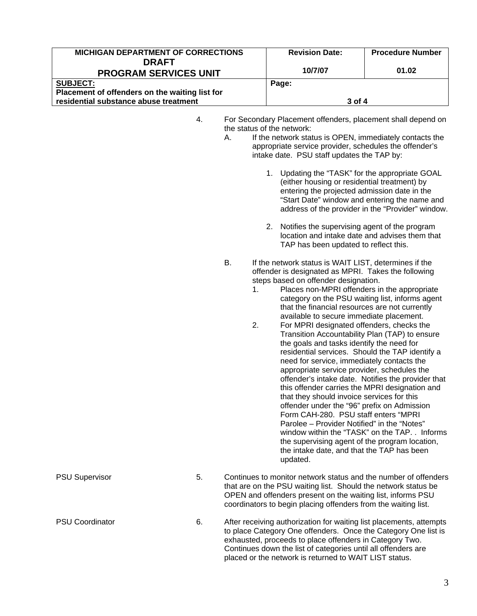| <b>MICHIGAN DEPARTMENT OF CORRECTIONS</b>                                               |                            | <b>Revision Date:</b>                                                                                                                                                                                                                                                                                                                                                                                                                                                                                                                                                                                                                                                                                                                                                                                                                                                                                                                                                                                                                                                                                                                                                                                                                                                                                                                                                                                                                                                                                                                                                                                                                                                         | <b>Procedure Number</b>                                                                             |  |
|-----------------------------------------------------------------------------------------|----------------------------|-------------------------------------------------------------------------------------------------------------------------------------------------------------------------------------------------------------------------------------------------------------------------------------------------------------------------------------------------------------------------------------------------------------------------------------------------------------------------------------------------------------------------------------------------------------------------------------------------------------------------------------------------------------------------------------------------------------------------------------------------------------------------------------------------------------------------------------------------------------------------------------------------------------------------------------------------------------------------------------------------------------------------------------------------------------------------------------------------------------------------------------------------------------------------------------------------------------------------------------------------------------------------------------------------------------------------------------------------------------------------------------------------------------------------------------------------------------------------------------------------------------------------------------------------------------------------------------------------------------------------------------------------------------------------------|-----------------------------------------------------------------------------------------------------|--|
| <b>DRAFT</b><br><b>PROGRAM SERVICES UNIT</b>                                            |                            | 10/7/07                                                                                                                                                                                                                                                                                                                                                                                                                                                                                                                                                                                                                                                                                                                                                                                                                                                                                                                                                                                                                                                                                                                                                                                                                                                                                                                                                                                                                                                                                                                                                                                                                                                                       | 01.02                                                                                               |  |
| <b>SUBJECT:</b>                                                                         |                            | Page:                                                                                                                                                                                                                                                                                                                                                                                                                                                                                                                                                                                                                                                                                                                                                                                                                                                                                                                                                                                                                                                                                                                                                                                                                                                                                                                                                                                                                                                                                                                                                                                                                                                                         |                                                                                                     |  |
| Placement of offenders on the waiting list for<br>residential substance abuse treatment |                            | 3 of 4                                                                                                                                                                                                                                                                                                                                                                                                                                                                                                                                                                                                                                                                                                                                                                                                                                                                                                                                                                                                                                                                                                                                                                                                                                                                                                                                                                                                                                                                                                                                                                                                                                                                        |                                                                                                     |  |
|                                                                                         | 4.<br>А.<br>В.<br>1.<br>2. | For Secondary Placement offenders, placement shall depend on<br>the status of the network:<br>If the network status is OPEN, immediately contacts the<br>appropriate service provider, schedules the offender's<br>intake date. PSU staff updates the TAP by:<br>1. Updating the "TASK" for the appropriate GOAL<br>(either housing or residential treatment) by<br>entering the projected admission date in the<br>"Start Date" window and entering the name and<br>2. Notifies the supervising agent of the program<br>location and intake date and advises them that<br>TAP has been updated to reflect this.<br>If the network status is WAIT LIST, determines if the<br>offender is designated as MPRI. Takes the following<br>steps based on offender designation.<br>Places non-MPRI offenders in the appropriate<br>category on the PSU waiting list, informs agent<br>that the financial resources are not currently<br>available to secure immediate placement.<br>For MPRI designated offenders, checks the<br>Transition Accountability Plan (TAP) to ensure<br>the goals and tasks identify the need for<br>residential services. Should the TAP identify a<br>need for service, immediately contacts the<br>appropriate service provider, schedules the<br>offender's intake date. Notifies the provider that<br>this offender carries the MPRI designation and<br>that they should invoice services for this<br>offender under the "96" prefix on Admission<br>Form CAH-280. PSU staff enters "MPRI<br>Parolee - Provider Notified" in the "Notes"<br>the supervising agent of the program location,<br>the intake date, and that the TAP has been<br>updated. | address of the provider in the "Provider" window.<br>window within the "TASK" on the TAP. . Informs |  |
| <b>PSU Supervisor</b>                                                                   | 5.                         | Continues to monitor network status and the number of offenders<br>that are on the PSU waiting list. Should the network status be<br>OPEN and offenders present on the waiting list, informs PSU<br>coordinators to begin placing offenders from the waiting list.                                                                                                                                                                                                                                                                                                                                                                                                                                                                                                                                                                                                                                                                                                                                                                                                                                                                                                                                                                                                                                                                                                                                                                                                                                                                                                                                                                                                            |                                                                                                     |  |
| <b>PSU Coordinator</b>                                                                  | 6.                         | After receiving authorization for waiting list placements, attempts<br>to place Category One offenders. Once the Category One list is<br>exhausted, proceeds to place offenders in Category Two.<br>Continues down the list of categories until all offenders are<br>placed or the network is returned to WAIT LIST status.                                                                                                                                                                                                                                                                                                                                                                                                                                                                                                                                                                                                                                                                                                                                                                                                                                                                                                                                                                                                                                                                                                                                                                                                                                                                                                                                                   |                                                                                                     |  |

3